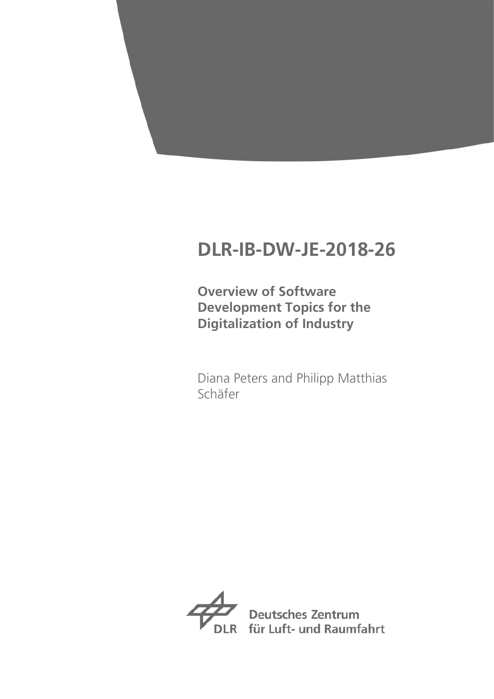# **DLR-IB-DW-JE-2018-26**

**Overview of Software Development Topics for the Digitalization of Industry**

Diana Peters and Philipp Matthias Schäfer



**Deutsches Zentrum** für Luft- und Raumfahrt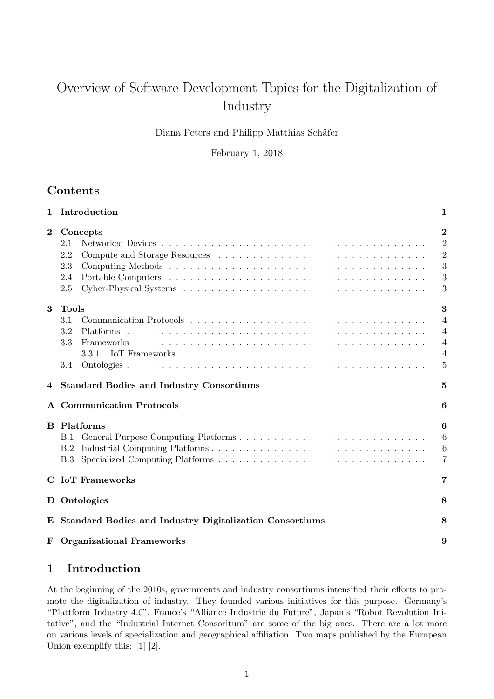# Overview of Software Development Topics for the Digitalization of Industry

Diana Peters and Philipp Matthias Schäfer

February 1, 2018

# **Contents**

| $\mathbf 1$ | Introduction                                                   | $\mathbf 1$                                                                    |
|-------------|----------------------------------------------------------------|--------------------------------------------------------------------------------|
| $\bf{2}$    | Concepts<br>2.1<br>2.2<br>2.3<br>2.4<br>2.5                    | $\overline{2}$<br>$\overline{2}$<br>$\overline{2}$<br>3<br>3<br>3              |
| 3           | <b>Tools</b><br>3.1<br>3.2<br>3.3<br>3.3.1<br>3.4              | 3<br>$\overline{4}$<br>$\overline{4}$<br>$\overline{4}$<br>$\overline{4}$<br>5 |
| 4           | <b>Standard Bodies and Industry Consortiums</b>                | 5                                                                              |
|             | <b>A</b> Communication Protocols                               | 6                                                                              |
| B.          | Platforms<br>B.1<br>B.2<br>B.3                                 | 6<br>6<br>6<br>7                                                               |
|             | <b>C</b> IoT Frameworks                                        | 7                                                                              |
|             | D Ontologies                                                   | 8                                                                              |
| E           | <b>Standard Bodies and Industry Digitalization Consortiums</b> | 8                                                                              |
|             | <b>F</b> Organizational Frameworks                             | 9                                                                              |

# 1 Introduction

At the beginning of the 2010s, governments and industry consortiums intensified their efforts to promote the digitalization of industry. They founded various initiatives for this purpose. Germany's "Plattform Industry 4.0", France's "Alliance Industrie du Future", Japan's "Robot Revolution Initative", and the "Industrial Internet Consoritum" are some of the big ones. There are a lot more on various levels of specialization and geographical affiliation. Two maps published by the European Union exemplify this: [1] [2].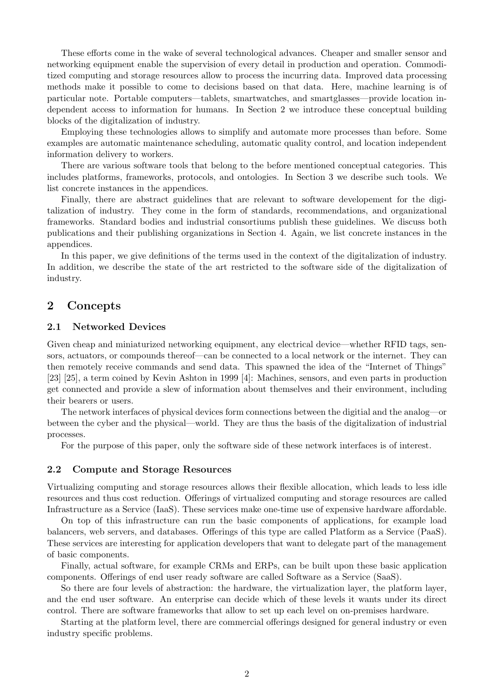These efforts come in the wake of several technological advances. Cheaper and smaller sensor and networking equipment enable the supervision of every detail in production and operation. Commoditized computing and storage resources allow to process the incurring data. Improved data processing methods make it possible to come to decisions based on that data. Here, machine learning is of particular note. Portable computers—tablets, smartwatches, and smartglasses—provide location independent access to information for humans. In Section 2 we introduce these conceptual building blocks of the digitalization of industry.

Employing these technologies allows to simplify and automate more processes than before. Some examples are automatic maintenance scheduling, automatic quality control, and location independent information delivery to workers.

There are various software tools that belong to the before mentioned conceptual categories. This includes platforms, frameworks, protocols, and ontologies. In Section 3 we describe such tools. We list concrete instances in the appendices.

Finally, there are abstract guidelines that are relevant to software developement for the digitalization of industry. They come in the form of standards, recommendations, and organizational frameworks. Standard bodies and industrial consortiums publish these guidelines. We discuss both publications and their publishing organizations in Section 4. Again, we list concrete instances in the appendices.

In this paper, we give definitions of the terms used in the context of the digitalization of industry. In addition, we describe the state of the art restricted to the software side of the digitalization of industry.

## 2 Concepts

#### 2.1 Networked Devices

Given cheap and miniaturized networking equipment, any electrical device—whether RFID tags, sensors, actuators, or compounds thereof—can be connected to a local network or the internet. They can then remotely receive commands and send data. This spawned the idea of the "Internet of Things" [23] [25], a term coined by Kevin Ashton in 1999 [4]: Machines, sensors, and even parts in production get connected and provide a slew of information about themselves and their environment, including their bearers or users.

The network interfaces of physical devices form connections between the digitial and the analog—or between the cyber and the physical—world. They are thus the basis of the digitalization of industrial processes.

For the purpose of this paper, only the software side of these network interfaces is of interest.

#### 2.2 Compute and Storage Resources

Virtualizing computing and storage resources allows their flexible allocation, which leads to less idle resources and thus cost reduction. Offerings of virtualized computing and storage resources are called Infrastructure as a Service (IaaS). These services make one-time use of expensive hardware affordable.

On top of this infrastructure can run the basic components of applications, for example load balancers, web servers, and databases. Offerings of this type are called Platform as a Service (PaaS). These services are interesting for application developers that want to delegate part of the management of basic components.

Finally, actual software, for example CRMs and ERPs, can be built upon these basic application components. Offerings of end user ready software are called Software as a Service (SaaS).

So there are four levels of abstraction: the hardware, the virtualization layer, the platform layer, and the end user software. An enterprise can decide which of these levels it wants under its direct control. There are software frameworks that allow to set up each level on on-premises hardware.

Starting at the platform level, there are commercial offerings designed for general industry or even industry specific problems.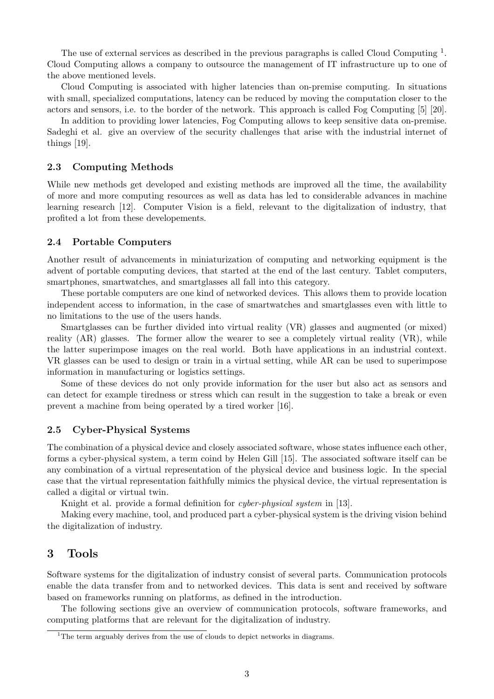The use of external services as described in the previous paragraphs is called Cloud Computing <sup>1</sup>. Cloud Computing allows a company to outsource the management of IT infrastructure up to one of the above mentioned levels.

Cloud Computing is associated with higher latencies than on-premise computing. In situations with small, specialized computations, latency can be reduced by moving the computation closer to the actors and sensors, i.e. to the border of the network. This approach is called Fog Computing [5] [20].

In addition to providing lower latencies, Fog Computing allows to keep sensitive data on-premise. Sadeghi et al. give an overview of the security challenges that arise with the industrial internet of things [19].

#### 2.3 Computing Methods

While new methods get developed and existing methods are improved all the time, the availability of more and more computing resources as well as data has led to considerable advances in machine learning research [12]. Computer Vision is a field, relevant to the digitalization of industry, that profited a lot from these developements.

#### 2.4 Portable Computers

Another result of advancements in miniaturization of computing and networking equipment is the advent of portable computing devices, that started at the end of the last century. Tablet computers, smartphones, smartwatches, and smartglasses all fall into this category.

These portable computers are one kind of networked devices. This allows them to provide location independent access to information, in the case of smartwatches and smartglasses even with little to no limitations to the use of the users hands.

Smartglasses can be further divided into virtual reality (VR) glasses and augmented (or mixed) reality (AR) glasses. The former allow the wearer to see a completely virtual reality (VR), while the latter superimpose images on the real world. Both have applications in an industrial context. VR glasses can be used to design or train in a virtual setting, while AR can be used to superimpose information in manufacturing or logistics settings.

Some of these devices do not only provide information for the user but also act as sensors and can detect for example tiredness or stress which can result in the suggestion to take a break or even prevent a machine from being operated by a tired worker [16].

#### 2.5 Cyber-Physical Systems

The combination of a physical device and closely associated software, whose states influence each other, forms a cyber-physical system, a term coind by Helen Gill [15]. The associated software itself can be any combination of a virtual representation of the physical device and business logic. In the special case that the virtual representation faithfully mimics the physical device, the virtual representation is called a digital or virtual twin.

Knight et al. provide a formal definition for *cyber-physical system* in [13].

Making every machine, tool, and produced part a cyber-physical system is the driving vision behind the digitalization of industry.

## 3 Tools

Software systems for the digitalization of industry consist of several parts. Communication protocols enable the data transfer from and to networked devices. This data is sent and received by software based on frameworks running on platforms, as defined in the introduction.

The following sections give an overview of communication protocols, software frameworks, and computing platforms that are relevant for the digitalization of industry.

<sup>&</sup>lt;sup>1</sup>The term arguably derives from the use of clouds to depict networks in diagrams.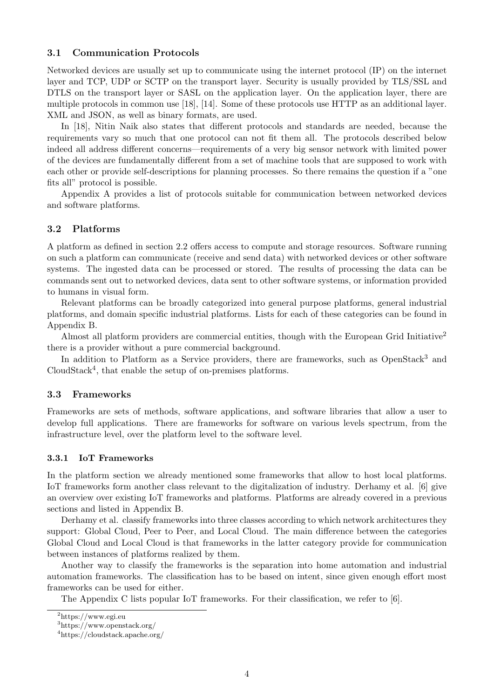#### 3.1 Communication Protocols

Networked devices are usually set up to communicate using the internet protocol (IP) on the internet layer and TCP, UDP or SCTP on the transport layer. Security is usually provided by TLS/SSL and DTLS on the transport layer or SASL on the application layer. On the application layer, there are multiple protocols in common use [18], [14]. Some of these protocols use HTTP as an additional layer. XML and JSON, as well as binary formats, are used.

In [18], Nitin Naik also states that different protocols and standards are needed, because the requirements vary so much that one protocol can not fit them all. The protocols described below indeed all address different concerns—requirements of a very big sensor network with limited power of the devices are fundamentally different from a set of machine tools that are supposed to work with each other or provide self-descriptions for planning processes. So there remains the question if a "one fits all" protocol is possible.

Appendix A provides a list of protocols suitable for communication between networked devices and software platforms.

#### 3.2 Platforms

A platform as defined in section 2.2 offers access to compute and storage resources. Software running on such a platform can communicate (receive and send data) with networked devices or other software systems. The ingested data can be processed or stored. The results of processing the data can be commands sent out to networked devices, data sent to other software systems, or information provided to humans in visual form.

Relevant platforms can be broadly categorized into general purpose platforms, general industrial platforms, and domain specific industrial platforms. Lists for each of these categories can be found in Appendix B.

Almost all platform providers are commercial entities, though with the European Grid Initiative<sup>2</sup> there is a provider without a pure commercial background.

In addition to Platform as a Service providers, there are frameworks, such as OpenStack<sup>3</sup> and CloudStack<sup>4</sup>, that enable the setup of on-premises platforms.

#### 3.3 Frameworks

Frameworks are sets of methods, software applications, and software libraries that allow a user to develop full applications. There are frameworks for software on various levels spectrum, from the infrastructure level, over the platform level to the software level.

#### 3.3.1 IoT Frameworks

In the platform section we already mentioned some frameworks that allow to host local platforms. IoT frameworks form another class relevant to the digitalization of industry. Derhamy et al. [6] give an overview over existing IoT frameworks and platforms. Platforms are already covered in a previous sections and listed in Appendix B.

Derhamy et al. classify frameworks into three classes according to which network architectures they support: Global Cloud, Peer to Peer, and Local Cloud. The main difference between the categories Global Cloud and Local Cloud is that frameworks in the latter category provide for communication between instances of platforms realized by them.

Another way to classify the frameworks is the separation into home automation and industrial automation frameworks. The classification has to be based on intent, since given enough effort most frameworks can be used for either.

The Appendix C lists popular IoT frameworks. For their classification, we refer to [6].

 $^{2}$ https://www.egi.eu

<sup>3</sup>https://www.openstack.org/

<sup>4</sup>https://cloudstack.apache.org/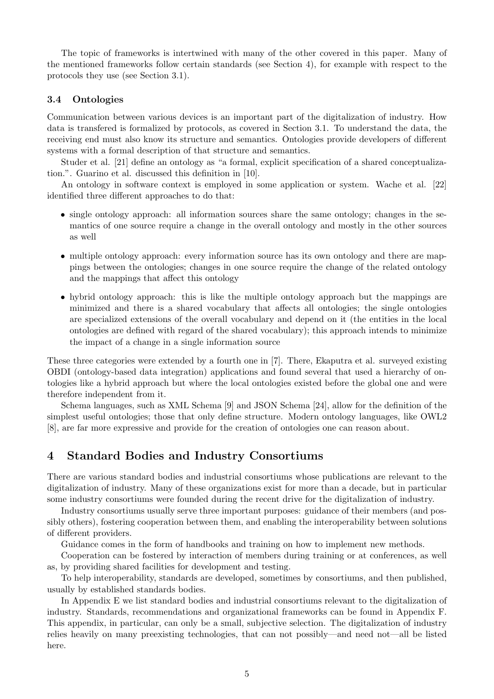The topic of frameworks is intertwined with many of the other covered in this paper. Many of the mentioned frameworks follow certain standards (see Section 4), for example with respect to the protocols they use (see Section 3.1).

#### 3.4 Ontologies

Communication between various devices is an important part of the digitalization of industry. How data is transfered is formalized by protocols, as covered in Section 3.1. To understand the data, the receiving end must also know its structure and semantics. Ontologies provide developers of different systems with a formal description of that structure and semantics.

Studer et al. [21] define an ontology as "a formal, explicit specification of a shared conceptualization.". Guarino et al. discussed this definition in [10].

An ontology in software context is employed in some application or system. Wache et al. [22] identified three different approaches to do that:

- single ontology approach: all information sources share the same ontology; changes in the semantics of one source require a change in the overall ontology and mostly in the other sources as well
- multiple ontology approach: every information source has its own ontology and there are mappings between the ontologies; changes in one source require the change of the related ontology and the mappings that affect this ontology
- hybrid ontology approach: this is like the multiple ontology approach but the mappings are minimized and there is a shared vocabulary that affects all ontologies; the single ontologies are specialized extensions of the overall vocabulary and depend on it (the entities in the local ontologies are defined with regard of the shared vocabulary); this approach intends to minimize the impact of a change in a single information source

These three categories were extended by a fourth one in [7]. There, Ekaputra et al. surveyed existing OBDI (ontology-based data integration) applications and found several that used a hierarchy of ontologies like a hybrid approach but where the local ontologies existed before the global one and were therefore independent from it.

Schema languages, such as XML Schema [9] and JSON Schema [24], allow for the definition of the simplest useful ontologies; those that only define structure. Modern ontology languages, like OWL2 [8], are far more expressive and provide for the creation of ontologies one can reason about.

# 4 Standard Bodies and Industry Consortiums

There are various standard bodies and industrial consortiums whose publications are relevant to the digitalization of industry. Many of these organizations exist for more than a decade, but in particular some industry consortiums were founded during the recent drive for the digitalization of industry.

Industry consortiums usually serve three important purposes: guidance of their members (and possibly others), fostering cooperation between them, and enabling the interoperability between solutions of different providers.

Guidance comes in the form of handbooks and training on how to implement new methods.

Cooperation can be fostered by interaction of members during training or at conferences, as well as, by providing shared facilities for development and testing.

To help interoperability, standards are developed, sometimes by consortiums, and then published, usually by established standards bodies.

In Appendix E we list standard bodies and industrial consortiums relevant to the digitalization of industry. Standards, recommendations and organizational frameworks can be found in Appendix F. This appendix, in particular, can only be a small, subjective selection. The digitalization of industry relies heavily on many preexisting technologies, that can not possibly—and need not—all be listed here.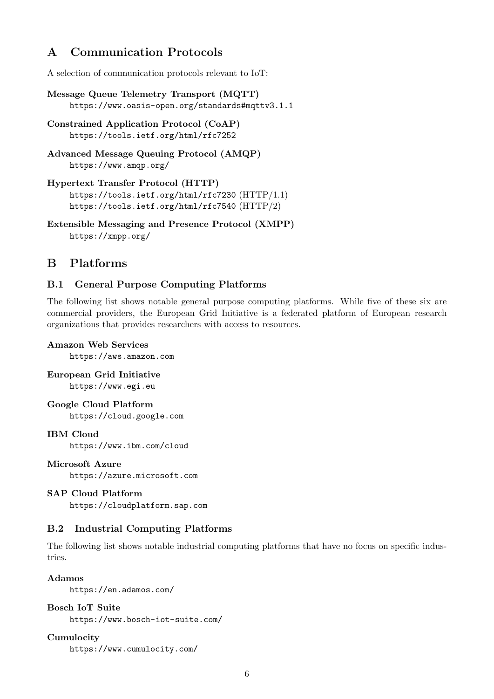# A Communication Protocols

A selection of communication protocols relevant to IoT:

```
Message Queue Telemetry Transport (MQTT)
https://www.oasis-open.org/standards#mqttv3.1.1
```
- Constrained Application Protocol (CoAP) https://tools.ietf.org/html/rfc7252
- Advanced Message Queuing Protocol (AMQP) https://www.amqp.org/

```
Hypertext Transfer Protocol (HTTP)
https://tools.ietf.org/html/rfc7230 (HTTP/1.1)
https://tools.ietf.org/html/rfc7540 (HTTP/2)
```
Extensible Messaging and Presence Protocol (XMPP) https://xmpp.org/

# B Platforms

## B.1 General Purpose Computing Platforms

The following list shows notable general purpose computing platforms. While five of these six are commercial providers, the European Grid Initiative is a federated platform of European research organizations that provides researchers with access to resources.

## Amazon Web Services

https://aws.amazon.com

European Grid Initiative

https://www.egi.eu

## Google Cloud Platform

https://cloud.google.com

### IBM Cloud

https://www.ibm.com/cloud

#### Microsoft Azure

https://azure.microsoft.com

#### SAP Cloud Platform

https://cloudplatform.sap.com

# B.2 Industrial Computing Platforms

The following list shows notable industrial computing platforms that have no focus on specific industries.

#### Adamos

https://en.adamos.com/

#### Bosch IoT Suite

https://www.bosch-iot-suite.com/

## Cumulocity

https://www.cumulocity.com/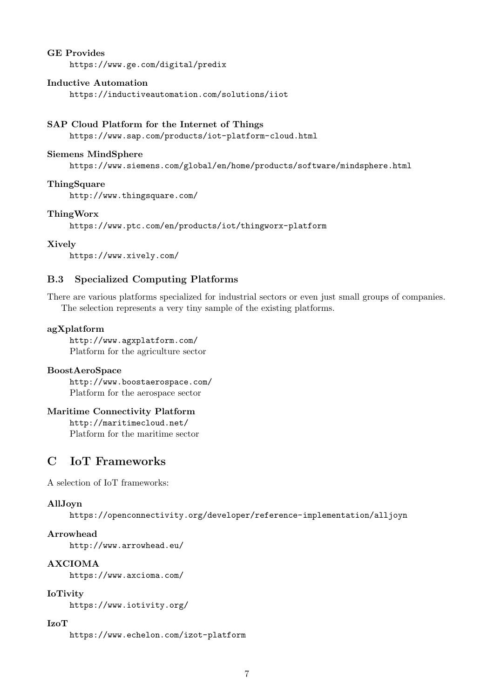#### GE Provides

https://www.ge.com/digital/predix

#### Inductive Automation

https://inductiveautomation.com/solutions/iiot

#### SAP Cloud Platform for the Internet of Things

https://www.sap.com/products/iot-platform-cloud.html

#### Siemens MindSphere

https://www.siemens.com/global/en/home/products/software/mindsphere.html

#### **ThingSquare**

http://www.thingsquare.com/

#### ThingWorx

https://www.ptc.com/en/products/iot/thingworx-platform

#### Xively

https://www.xively.com/

## B.3 Specialized Computing Platforms

There are various platforms specialized for industrial sectors or even just small groups of companies. The selection represents a very tiny sample of the existing platforms.

#### agXplatform

http://www.agxplatform.com/ Platform for the agriculture sector

#### BoostAeroSpace

http://www.boostaerospace.com/ Platform for the aerospace sector

#### Maritime Connectivity Platform

http://maritimecloud.net/ Platform for the maritime sector

# C IoT Frameworks

A selection of IoT frameworks:

#### AllJoyn

https://openconnectivity.org/developer/reference-implementation/alljoyn

#### Arrowhead

http://www.arrowhead.eu/

## AXCIOMA

https://www.axcioma.com/

## IoTivity

https://www.iotivity.org/

### IzoT

https://www.echelon.com/izot-platform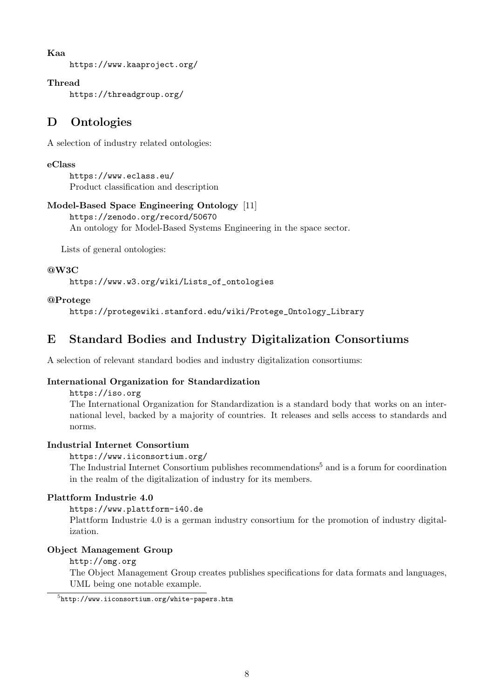### Kaa

https://www.kaaproject.org/

## Thread

https://threadgroup.org/

# D Ontologies

A selection of industry related ontologies:

## eClass

https://www.eclass.eu/ Product classification and description

## Model-Based Space Engineering Ontology [11]

https://zenodo.org/record/50670 An ontology for Model-Based Systems Engineering in the space sector.

Lists of general ontologies:

## @W3C

https://www.w3.org/wiki/Lists\_of\_ontologies

## @Protege

https://protegewiki.stanford.edu/wiki/Protege\_Ontology\_Library

# E Standard Bodies and Industry Digitalization Consortiums

A selection of relevant standard bodies and industry digitalization consortiums:

## International Organization for Standardization

#### https://iso.org

The International Organization for Standardization is a standard body that works on an international level, backed by a majority of countries. It releases and sells access to standards and norms.

## Industrial Internet Consortium

https://www.iiconsortium.org/

The Industrial Internet Consortium publishes recommendations<sup>5</sup> and is a forum for coordination in the realm of the digitalization of industry for its members.

## Plattform Industrie 4.0

## https://www.plattform-i40.de

Plattform Industrie 4.0 is a german industry consortium for the promotion of industry digitalization.

## Object Management Group

http://omg.org

The Object Management Group creates publishes specifications for data formats and languages, UML being one notable example.

 $^{5}$ http://www.iiconsortium.org/white-papers.htm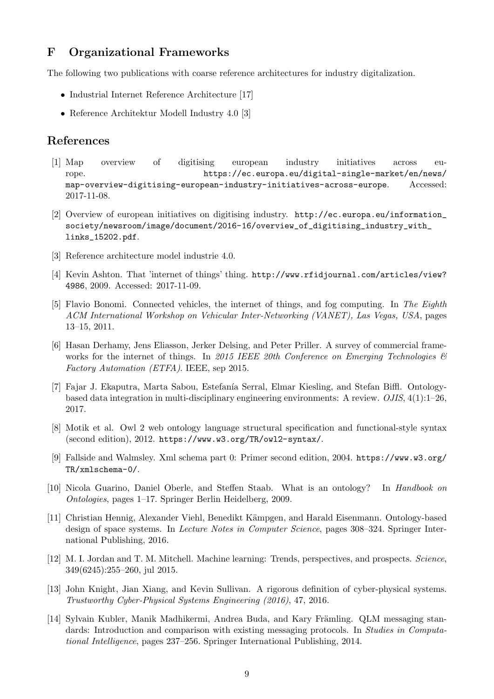# F Organizational Frameworks

The following two publications with coarse reference architectures for industry digitalization.

- Industrial Internet Reference Architecture [17]
- Reference Architektur Modell Industry 4.0 [3]

# References

- [1] Map overview of digitising european industry initiatives across europe. https://ec.europa.eu/digital-single-market/en/news/ map-overview-digitising-european-industry-initiatives-across-europe. Accessed: 2017-11-08.
- [2] Overview of european initiatives on digitising industry. http://ec.europa.eu/information\_ society/newsroom/image/document/2016-16/overview\_of\_digitising\_industry\_with\_ links\_15202.pdf.
- [3] Reference architecture model industrie 4.0.
- [4] Kevin Ashton. That 'internet of things' thing. http://www.rfidjournal.com/articles/view? 4986, 2009. Accessed: 2017-11-09.
- [5] Flavio Bonomi. Connected vehicles, the internet of things, and fog computing. In The Eighth ACM International Workshop on Vehicular Inter-Networking (VANET), Las Vegas, USA, pages 13–15, 2011.
- [6] Hasan Derhamy, Jens Eliasson, Jerker Delsing, and Peter Priller. A survey of commercial frameworks for the internet of things. In 2015 IEEE 20th Conference on Emerging Technologies  $\mathcal{B}$ Factory Automation (ETFA). IEEE, sep 2015.
- [7] Fajar J. Ekaputra, Marta Sabou, Estefanía Serral, Elmar Kiesling, and Stefan Biffl. Ontologybased data integration in multi-disciplinary engineering environments: A review. OJIS, 4(1):1–26, 2017.
- [8] Motik et al. Owl 2 web ontology language structural specification and functional-style syntax (second edition), 2012. https://www.w3.org/TR/owl2-syntax/.
- [9] Fallside and Walmsley. Xml schema part 0: Primer second edition, 2004. https://www.w3.org/ TR/xmlschema-0/.
- [10] Nicola Guarino, Daniel Oberle, and Steffen Staab. What is an ontology? In Handbook on Ontologies, pages 1–17. Springer Berlin Heidelberg, 2009.
- [11] Christian Hennig, Alexander Viehl, Benedikt K¨ampgen, and Harald Eisenmann. Ontology-based design of space systems. In Lecture Notes in Computer Science, pages 308–324. Springer International Publishing, 2016.
- [12] M. I. Jordan and T. M. Mitchell. Machine learning: Trends, perspectives, and prospects. Science, 349(6245):255–260, jul 2015.
- [13] John Knight, Jian Xiang, and Kevin Sullivan. A rigorous definition of cyber-physical systems. Trustworthy Cyber-Physical Systems Engineering (2016), 47, 2016.
- [14] Sylvain Kubler, Manik Madhikermi, Andrea Buda, and Kary Främling. QLM messaging standards: Introduction and comparison with existing messaging protocols. In *Studies in Computa*tional Intelligence, pages 237–256. Springer International Publishing, 2014.